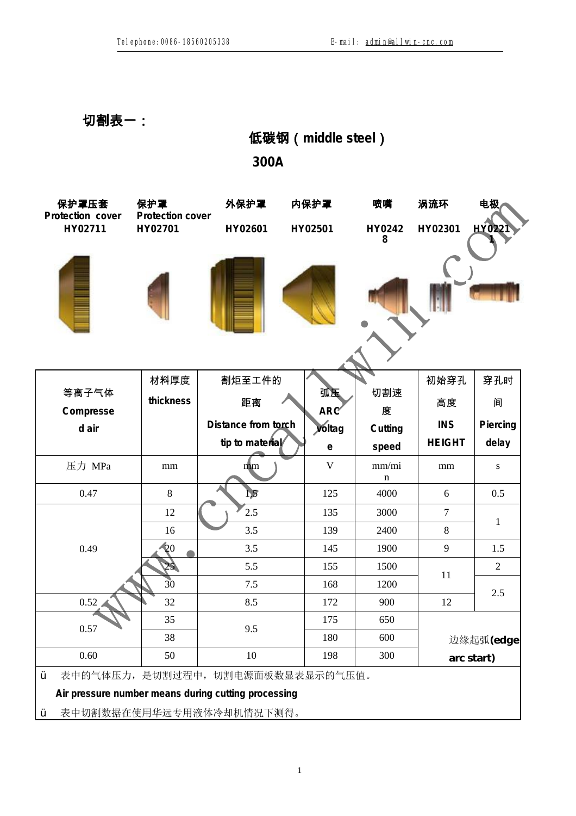**切割表一:**

|                           |                         |                                                                                                                      | 低碳钢 (middle steel)        |                      |                |                |  |
|---------------------------|-------------------------|----------------------------------------------------------------------------------------------------------------------|---------------------------|----------------------|----------------|----------------|--|
|                           |                         | 300A                                                                                                                 |                           |                      |                |                |  |
| 保护罩压套<br>Protection cover | 保护罩<br>Protection cover | 外保护罩                                                                                                                 | 内保护罩                      | 喷嘴                   | 涡流环            | 电极             |  |
| HY02711                   | HY02701                 |                                                                                                                      | HY02601<br>HY02501        |                      | HY02301        | HY022          |  |
|                           |                         |                                                                                                                      |                           |                      |                |                |  |
|                           | 材料厚度                    | 割炬至工件的                                                                                                               |                           |                      | 初始穿孔           | 穿孔时            |  |
| 等离子气体<br>Compresse        | thickness               | 距离                                                                                                                   | 弧压<br>ARC                 | 切割速<br>度             | 高度             | 间              |  |
| d air                     |                         | Distance from torch                                                                                                  | voltag                    | Cutting              | <b>INS</b>     | Piercing       |  |
|                           |                         | tip to material                                                                                                      | $\mathop{\rm e}\nolimits$ | speed                | <b>HEIGHT</b>  | delay          |  |
| 压力 MPa                    | mm                      | m <sub>m</sub>                                                                                                       | $\mathbf{V}$              | mm/mi<br>$\mathbf n$ | mm             | S              |  |
| 0.47                      | 8                       | $\mathbf{L5}$                                                                                                        | 125                       | 4000                 | 6              | 0.5            |  |
|                           | 12                      | 2.5                                                                                                                  | 135                       | 3000                 | $\overline{7}$ |                |  |
|                           | 16                      | 3.5                                                                                                                  | 139                       | 2400                 | 8              | $\mathbf{1}$   |  |
| 0.49                      | $\mathbf{Q}$            | 3.5                                                                                                                  | 145                       | 1900                 | 9              | 1.5            |  |
|                           | 25 <sub>1</sub>         | 5.5                                                                                                                  | 155                       | 1500                 | 11             | $\overline{2}$ |  |
|                           | $\overline{30}$         | 7.5                                                                                                                  | 168                       | 1200                 |                | 2.5            |  |
| 0.52                      | 32                      | 8.5                                                                                                                  | 172                       | 900                  | 12             |                |  |
| 0.57                      | 35                      | 9.5                                                                                                                  | 175                       | 650                  |                |                |  |
|                           | 38                      |                                                                                                                      | 180                       | 600                  | 边缘起弧(edge      |                |  |
| 0.60                      | 50                      | $10\,$                                                                                                               | 198                       | 300                  | arc start)     |                |  |
| Ÿ<br>Ÿ                    |                         | 表中的气体压力, 是切割过程中, 切割电源面板数显表显示的气压值。<br>Air pressure number means during cutting processing<br>表中切割数据在使用华远专用液体冷却机情况下测得。 |                           |                      |                |                |  |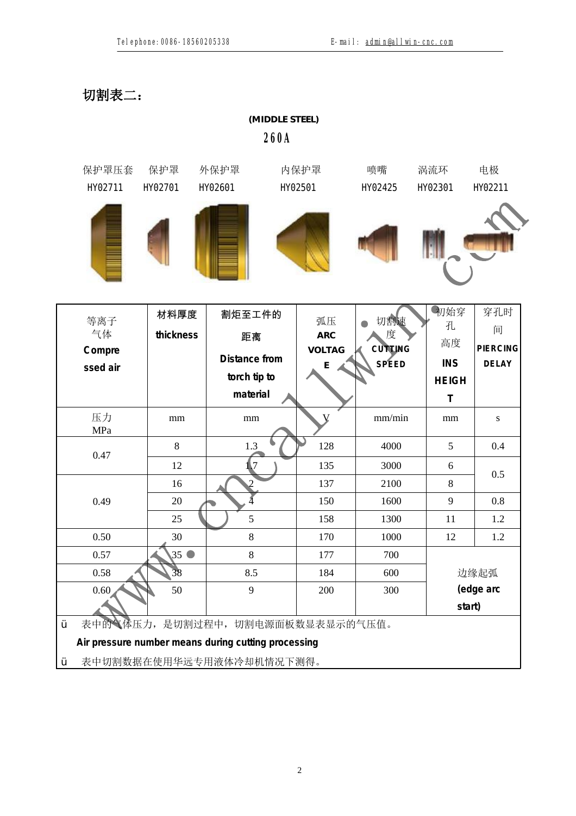**切割表二:**

|                                 |                        | (MIDDLE STEEL)<br><b>260A</b>                                                                                        |                                        |                              |                                              |                                             |
|---------------------------------|------------------------|----------------------------------------------------------------------------------------------------------------------|----------------------------------------|------------------------------|----------------------------------------------|---------------------------------------------|
| 保护罩压套<br>H02711                 | 保护罩<br><b>HX02701</b>  | 外保护罩<br><b>H</b> O2601                                                                                               | 内保护罩<br><b>HO2501</b>                  | 喷嘴<br>H02425                 | 涡流环<br><b>HO2301</b>                         | 电极<br><b>HO2211</b>                         |
|                                 |                        |                                                                                                                      |                                        |                              |                                              |                                             |
| 等离子<br>气体<br>Compre<br>ssed air | 材料厚度<br>thickness      | 割炬至工件的<br>距离<br>Distance from<br>torch tip to                                                                        | 弧压<br><b>ARC</b><br><b>VOLTAG</b><br>E | 切割速<br>度<br>CUTTING<br>SPEED | 初始穿<br>孔<br>高度<br><b>INS</b><br><b>HEIGH</b> | 穿孔时<br>间<br><b>PIERCING</b><br><b>DELAY</b> |
| 压力<br>MPa                       | $\rm mm$               | material<br>mm                                                                                                       |                                        | mm/min                       | $\mathsf{T}$<br>mm                           | ${\bf S}$                                   |
| 0.47                            | 8<br>12                | 1.3<br>$\mathsf{L}7$                                                                                                 | 128<br>135                             | 4000<br>3000                 | 5<br>6                                       | 0.4                                         |
| 0.49                            | 16<br>20               | 2                                                                                                                    | 137<br>150                             | 2100<br>1600                 | 8<br>9                                       | 0.5<br>0.8                                  |
| 0.50                            | 25<br>30               | 5<br>$8\,$                                                                                                           | 158<br>170                             | 1300<br>1000                 | 11<br>12                                     | 1.2<br>1.2                                  |
| 0.57<br>0.58<br>0.60            | $35^\circ$<br>38<br>50 | 8<br>8.5<br>9                                                                                                        | 177<br>184<br>200                      | 700<br>600<br>300            | 边缘起弧<br>(edge arc<br>start)                  |                                             |
| Ÿ<br>Ÿ                          |                        | 表中的气体压力, 是切割过程中, 切割电源面板数显表显示的气压值。<br>Air pressure number means during cutting processing<br>表中切割数据在使用华远专用液体冷却机情况下测得。 |                                        |                              |                                              |                                             |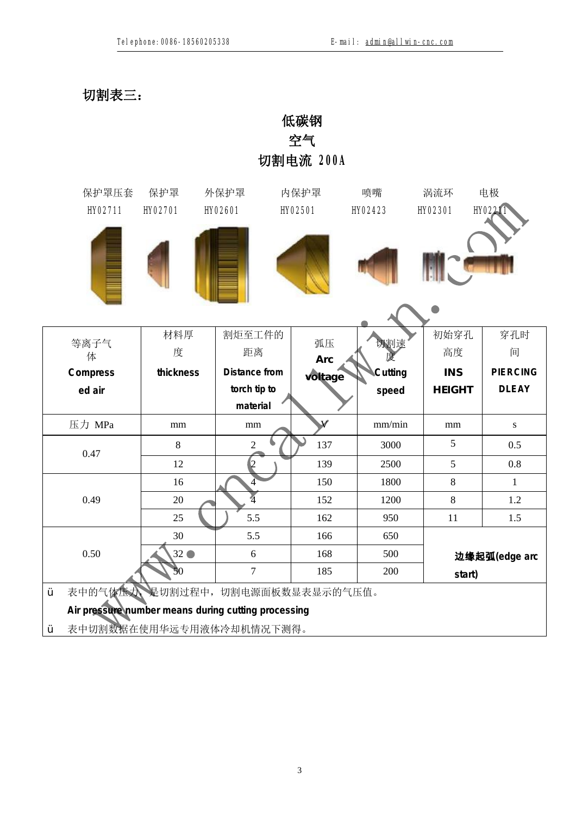**切割表三:**

|                                                                                            |                       |                          | 低碳钢<br>空气<br>切割电流 200A   |                      |                       |                      |
|--------------------------------------------------------------------------------------------|-----------------------|--------------------------|--------------------------|----------------------|-----------------------|----------------------|
| 保护罩压套<br><b>HY02711</b>                                                                    | 保护罩<br><b>HY02701</b> | 外保护罩<br><b>HY02601</b>   | 内保护罩<br><b>HY02501</b>   | 喷嘴<br><b>HY02423</b> | 涡流环<br><b>HY02301</b> | 电极<br><b>HY02211</b> |
|                                                                                            |                       |                          |                          |                      |                       |                      |
| 等离子气<br>体                                                                                  | 材料厚<br>度              | 割炬至工件的<br>距离             | 弧压<br>Arc                | 切割速                  | 初始穿孔<br>高度            | 穿孔时<br>间             |
| Compress                                                                                   | thickness             | Distance from            | voltage                  | Cutting              | <b>INS</b>            | <b>PIERCING</b>      |
| ed air                                                                                     |                       | torch tip to<br>material |                          | speed                | <b>HEIGHT</b>         | <b>DLEAY</b>         |
| 压力 MPa                                                                                     | mm                    | mm                       | $\checkmark$             | mm/min               | $\rm mm$              | ${\bf S}$            |
|                                                                                            | 8                     | $\overline{c}$           | 137                      | 3000                 | 5                     | 0.5                  |
| 0.47                                                                                       | 12                    | $\overline{c}$           | 139                      | 2500                 | 5                     | 0.8                  |
|                                                                                            | 16                    | 4                        | 150                      | 1800                 | $8\,$                 | $\mathbf{1}$         |
| 0.49                                                                                       | 20                    | 4                        | 152                      | 1200                 | 8                     | 1.2                  |
|                                                                                            | 25                    | 5.5                      | 162                      | 950                  | 11                    | 1.5                  |
|                                                                                            | 30                    | 5.5                      | 166                      | 650                  |                       |                      |
| 0.50                                                                                       | $32$ $\bullet$<br>50  | 6<br>7                   | 168<br>185               | 500<br>200           | start)                | 边缘起弧(edge arc        |
| 表中的气体压力<br>Air pressure number means during cutting processing<br>表中切割数据在使用华远专用液体冷却机情况下测得。 |                       |                          | 是切割过程中, 切割电源面板数显表显示的气压值。 |                      |                       |                      |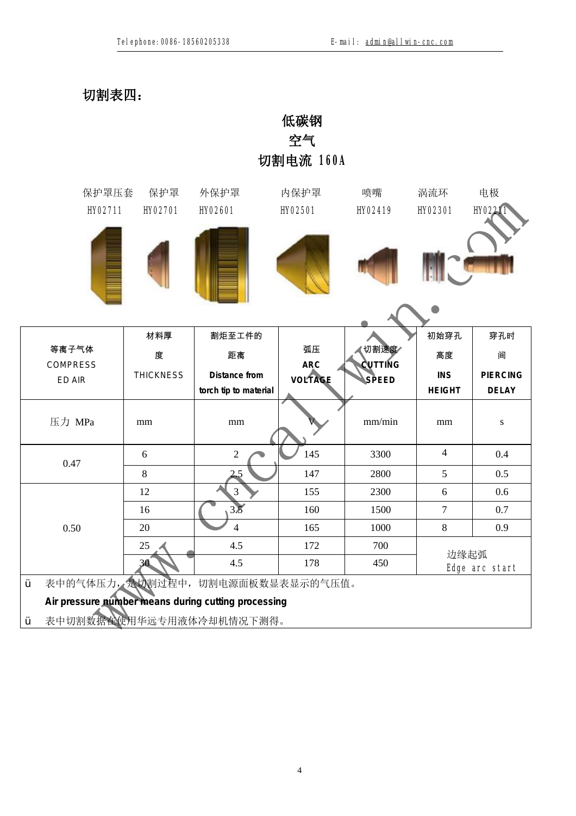**切割表四:**

|        |                                                                                                                                                                                                                                                                                                                                                   |                       |                        | 低碳钢<br>空气<br>切割电流 160A |                        |                       |                      |
|--------|---------------------------------------------------------------------------------------------------------------------------------------------------------------------------------------------------------------------------------------------------------------------------------------------------------------------------------------------------|-----------------------|------------------------|------------------------|------------------------|-----------------------|----------------------|
|        |                                                                                                                                                                                                                                                                                                                                                   | 保护罩<br><b>HY02701</b> | 外保护罩<br><b>HY02601</b> | 内保护罩<br><b>HY02501</b> | 喷嘴<br><b>HY02419</b>   | 涡流环<br><b>HY02301</b> | 电极<br><b>HY02211</b> |
|        |                                                                                                                                                                                                                                                                                                                                                   |                       |                        |                        |                        |                       |                      |
|        |                                                                                                                                                                                                                                                                                                                                                   | 材料厚                   | 割炬至工件的                 |                        |                        | 初始穿孔                  | 穿孔时                  |
| 等离子气体  |                                                                                                                                                                                                                                                                                                                                                   | 度                     | 距离                     | 弧压<br>ARC              | 切割速度<br><b>CUTTING</b> | 高度                    | 间                    |
| ED AIR | 保护罩压套<br><b>HY02711</b><br><b>COMPRESS</b><br><b>THICKNESS</b><br>Distance from<br>mm<br>mm<br>$\sqrt{2}$<br>6<br>$8\,$<br>2.5<br>3<br>12<br>3.5<br>16<br>$\overline{4}$<br>20<br>$25 \triangleleft$<br>4.5<br>4.5<br>30.<br>表中的气体压力, 是切割过程中, 切割电源面板数显表显示的气压值。<br>Air pressure number means during cutting processing<br>表中切割数据在使用华远专用液体冷却机情况下测得。 |                       | <b>VOLTAGE</b>         | <b>SPEED</b>           | <b>INS</b>             | <b>PIERCING</b>       |                      |
|        |                                                                                                                                                                                                                                                                                                                                                   |                       | torch tip to material  |                        |                        | <b>HEIGHT</b>         | <b>DELAY</b>         |
| 压力 MPa |                                                                                                                                                                                                                                                                                                                                                   |                       |                        |                        | mm/min                 | mm                    | ${\bf S}$            |
| 0.47   |                                                                                                                                                                                                                                                                                                                                                   |                       |                        | 145                    | 3300                   | $\overline{4}$        | 0.4                  |
|        |                                                                                                                                                                                                                                                                                                                                                   |                       |                        | 147                    | 2800                   | 5                     | 0.5                  |
|        |                                                                                                                                                                                                                                                                                                                                                   |                       |                        | 155                    | 2300                   | 6                     | 0.6                  |
|        |                                                                                                                                                                                                                                                                                                                                                   |                       |                        | 160                    | 1500                   | $\tau$                | 0.7                  |
| 0.50   |                                                                                                                                                                                                                                                                                                                                                   |                       |                        | 165                    | 1000                   | $\,8\,$               | 0.9                  |
|        |                                                                                                                                                                                                                                                                                                                                                   |                       |                        | 172                    | 700                    | 边缘起弧                  |                      |
|        |                                                                                                                                                                                                                                                                                                                                                   |                       |                        | 178                    | 450                    |                       | Edge arc start       |
| Ÿ      |                                                                                                                                                                                                                                                                                                                                                   |                       |                        |                        |                        |                       |                      |
|        |                                                                                                                                                                                                                                                                                                                                                   |                       |                        |                        |                        |                       |                      |
| Ÿ      |                                                                                                                                                                                                                                                                                                                                                   |                       |                        |                        |                        |                       |                      |